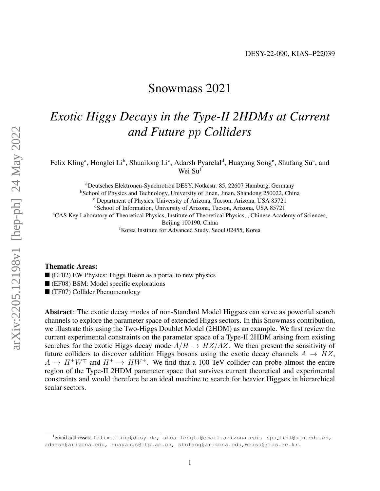## Snowmass 2021

# *Exotic Higgs Decays in the Type-II 2HDMs at Current and Future* pp *Colliders*

Felix Kling<sup>a</sup>, Honglei Li<sup>b</sup>, Shuailong Li<sup>c</sup>, Adarsh Pyarelal<sup>d</sup>, Huayang Song<sup>e</sup>, Shufang Su<sup>c</sup>, and Wei Su<sup>f</sup>

<sup>a</sup>Deutsches Elektronen-Synchrotron DESY, Notkestr. 85, 22607 Hamburg, Germany <sup>b</sup>School of Physics and Technology, University of Jinan, Jinan, Shandong 250022, China <sup>c</sup> Department of Physics, University of Arizona, Tucson, Arizona, USA 85721 <sup>d</sup>School of Information, University of Arizona, Tucson, Arizona, USA 85721 <sup>e</sup>CAS Key Laboratory of Theoretical Physics, Institute of Theoretical Physics, , Chinese Academy of Sciences, Beijing 100190, China <sup>f</sup>Korea Institute for Advanced Study, Seoul 02455, Korea

#### Thematic Areas:

(EF02) EW Physics: Higgs Boson as a portal to new physics

(EF08) BSM: Model specific explorations

(TF07) Collider Phenomenology

Abstract: The exotic decay modes of non-Standard Model Higgses can serve as powerful search channels to explore the parameter space of extended Higgs sectors. In this Snowmass contribution, we illustrate this using the Two-Higgs Doublet Model (2HDM) as an example. We first review the current experimental constraints on the parameter space of a Type-II 2HDM arising from existing searches for the exotic Higgs decay mode  $A/H \to HZ/AZ$ . We then present the sensitivity of future colliders to discover addition Higgs bosons using the exotic decay channels  $A \rightarrow HZ$ ,  $A \to H^{\pm}W^{\mp}$  and  $H^{\pm} \to HW^{\pm}$ . We find that a 100 TeV collider can probe almost the entire region of the Type-II 2HDM parameter space that survives current theoretical and experimental constraints and would therefore be an ideal machine to search for heavier Higgses in hierarchical scalar sectors.

<sup>&</sup>lt;sup>1</sup>emailaddresses: felix.kling@desy.de, shuailongli@email.arizona.edu, sps\_lihl@ujn.edu.cn, adarsh@arizona.edu, huayangs@itp.ac.cn, shufang@arizona.edu,weisu@kias.re.kr.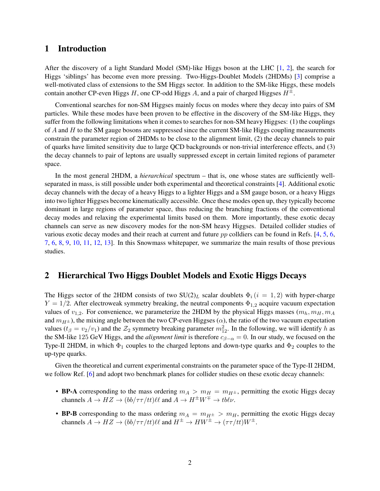#### 1 Introduction

After the discovery of a light Standard Model (SM)-like Higgs boson at the LHC [\[1,](#page-4-0) [2\]](#page-4-1), the search for Higgs 'siblings' has become even more pressing. Two-Higgs-Doublet Models (2HDMs) [\[3\]](#page-4-2) comprise a well-motivated class of extensions to the SM Higgs sector. In addition to the SM-like Higgs, these models contain another CP-even Higgs H, one CP-odd Higgs A, and a pair of charged Higgses  $H^{\pm}$ .

Conventional searches for non-SM Higgses mainly focus on modes where they decay into pairs of SM particles. While these modes have been proven to be effective in the discovery of the SM-like Higgs, they suffer from the following limitations when it comes to searches for non-SM heavy Higgses: (1) the couplings of  $A$  and  $H$  to the SM gauge bosons are suppressed since the current SM-like Higgs coupling measurements constrain the parameter region of 2HDMs to be close to the alignment limit, (2) the decay channels to pair of quarks have limited sensitivity due to large QCD backgrounds or non-trivial interference effects, and (3) the decay channels to pair of leptons are usually suppressed except in certain limited regions of parameter space.

In the most general 2HDM, a *hierarchical* spectrum – that is, one whose states are sufficiently wellseparated in mass, is still possible under both experimental and theoretical constraints [\[4\]](#page-4-3). Additional exotic decay channels with the decay of a heavy Higgs to a lighter Higgs and a SM gauge boson, or a heavy Higgs into two lighter Higgses become kinematically accessible. Once these modes open up, they typically become dominant in large regions of parameter space, thus reducing the branching fractions of the conventional decay modes and relaxing the experimental limits based on them. More importantly, these exotic decay channels can serve as new discovery modes for the non-SM heavy Higgses. Detailed collider studies of various exotic decay modes and their reach at current and future pp colldiers can be found in Refs. [\[4,](#page-4-3) [5,](#page-4-4) [6,](#page-4-5) [7,](#page-4-6) [6,](#page-4-5) [8,](#page-4-7) [9,](#page-4-8) [10,](#page-4-9) [11,](#page-4-10) [12,](#page-4-11) [13\]](#page-4-12). In this Snowmass whitepaper, we summarize the main results of those previous studies.

#### 2 Hierarchical Two Higgs Doublet Models and Exotic Higgs Decays

The Higgs sector of the 2HDM consists of two  $SU(2)_L$  scalar doublets  $\Phi_i$  ( $i = 1, 2$ ) with hyper-charge  $Y = 1/2$ . After electroweak symmetry breaking, the neutral components  $\Phi_{1,2}$  acquire vacuum expectation values of  $v_{1,2}$ . For convenience, we parameterize the 2HDM by the physical Higgs masses  $(m_h, m_H, m_A)$ and  $m_{H^{\pm}}$ ), the mixing angle between the two CP-even Higgses ( $\alpha$ ), the ratio of the two vacuum expectation values  $(t_\beta = v_2/v_1)$  and the  $\mathcal{Z}_2$  symmetry breaking parameter  $m_{12}^2$ . In the following, we will identify h as the SM-like 125 GeV Higgs, and the *alignment limit* is therefore  $c_{\beta-\alpha} = 0$ . In our study, we focused on the Type-II 2HDM, in which  $\Phi_1$  couples to the charged leptons and down-type quarks and  $\Phi_2$  couples to the up-type quarks.

Given the theoretical and current experimental constraints on the parameter space of the Type-II 2HDM, we follow Ref. [\[6\]](#page-4-5) and adopt two benchmark planes for collider studies on these exotic decay channels:

- BP-A corresponding to the mass ordering  $m_A > m_H = m_{H^{\pm}}$ , permitting the exotic Higgs decay channels  $A \to HZ \to (bb/\tau \tau/tt)\ell\ell$  and  $A \to H^{\pm}W^{\mp} \to tb\ell\nu$ .
- BP-B corresponding to the mass ordering  $m_A = m_{H^{\pm}} > m_H$ , permitting the exotic Higgs decay channels  $A \to HZ \to (bb/\tau \tau/tt)\ell\ell$  and  $H^{\pm} \to HW^{\pm} \to (\tau \tau/tt)W^{\pm}$ .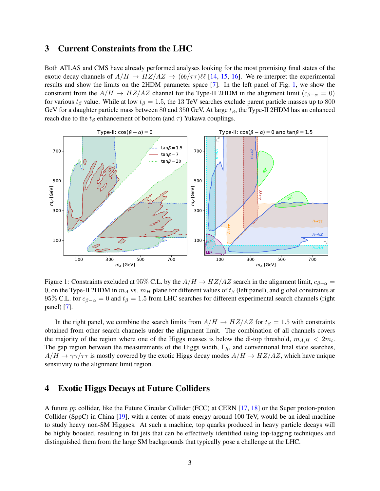### 3 Current Constraints from the LHC

Both ATLAS and CMS have already performed analyses looking for the most promising final states of the exotic decay channels of  $A/H \to HZ/AZ \to (bb/\tau\tau)\ell\ell$  [\[14,](#page-5-0) [15,](#page-5-1) [16\]](#page-5-2). We re-interpret the experimental results and show the limits on the 2HDM parameter space [\[7\]](#page-4-6). In the left panel of Fig. [1,](#page-2-0) we show the constraint from the  $A/H \to HZ/AZ$  channel for the Type-II 2HDM in the alignment limit ( $c_{\beta-\alpha} = 0$ ) for various  $t_\beta$  value. While at low  $t_\beta = 1.5$ , the 13 TeV searches exclude parent particle masses up to 800 GeV for a daughter particle mass between 80 and 350 GeV. At large  $t_\beta$ , the Type-II 2HDM has an enhanced reach due to the  $t_\beta$  enhancement of bottom (and  $\tau$ ) Yukawa couplings.



<span id="page-2-0"></span>Figure 1: Constraints excluded at 95% C.L. by the  $A/H \to HZ/AZ$  search in the alignment limit,  $c_{\beta-\alpha} =$ 0, on the Type-II 2HDM in  $m_A$  vs.  $m_H$  plane for different values of  $t_\beta$  (left panel), and global constraints at 95% C.L. for  $c_{\beta-\alpha} = 0$  and  $t_{\beta} = 1.5$  from LHC searches for different experimental search channels (right panel) [\[7\]](#page-4-6).

In the right panel, we combine the search limits from  $A/H \to HZ/AZ$  for  $t_\beta = 1.5$  with constraints obtained from other search channels under the alignment limit. The combination of all channels covers the majority of the region where one of the Higgs masses is below the di-top threshold,  $m_{A,H} < 2m_t$ . The gap region between the measurements of the Higgs width,  $\Gamma_h$ , and conventional final state searches,  $A/H \to \gamma \gamma/\tau \tau$  is mostly covered by the exotic Higgs decay modes  $A/H \to HZ/AZ$ , which have unique sensitivity to the alignment limit region.

#### 4 Exotic Higgs Decays at Future Colliders

A future pp collider, like the Future Circular Collider (FCC) at CERN [\[17,](#page-5-3) [18\]](#page-5-4) or the Super proton-proton Collider (SppC) in China [\[19\]](#page-5-5), with a center of mass energy around 100 TeV, would be an ideal machine to study heavy non-SM Higgses. At such a machine, top quarks produced in heavy particle decays will be highly boosted, resulting in fat jets that can be effectively identified using top-tagging techniques and distinguished them from the large SM backgrounds that typically pose a challenge at the LHC.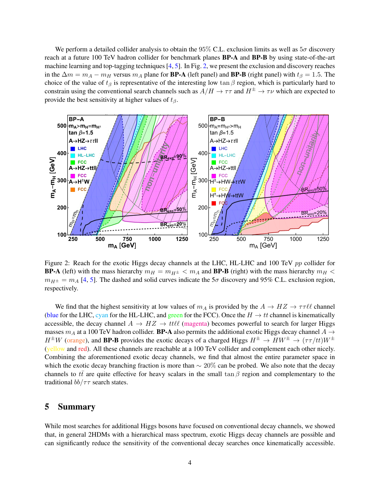We perform a detailed collider analysis to obtain the 95% C.L. exclusion limits as well as  $5\sigma$  discovery reach at a future 100 TeV hadron collider for benchmark planes BP-A and BP-B by using state-of-the-art machine learning and top-tagging techniques [\[4,](#page-4-3) [5\]](#page-4-4). In Fig. [2,](#page-3-0) we present the exclusion and discovery reaches in the  $\Delta m = m_A - m_H$  versus  $m_A$  plane for **BP-A** (left panel) and **BP-B** (right panel) with  $t_\beta = 1.5$ . The choice of the value of  $t_\beta$  is representative of the interesting low tan  $\beta$  region, which is particularly hard to constrain using the conventional search channels such as  $A/H \to \tau\tau$  and  $H^{\pm} \to \tau\nu$  which are expected to provide the best sensitivity at higher values of  $t_\beta$ .



<span id="page-3-0"></span>Figure 2: Reach for the exotic Higgs decay channels at the LHC, HL-LHC and 100 TeV pp collider for **BP-A** (left) with the mass hierarchy  $m_H = m_{H^{\pm}} < m_A$  and **BP-B** (right) with the mass hierarchy  $m_H <$  $m_{H\pm} = m_A$  [\[4,](#page-4-3) [5\]](#page-4-4). The dashed and solid curves indicate the 5 $\sigma$  discovery and 95% C.L. exclusion region, respectively.

We find that the highest sensitivity at low values of  $m_A$  is provided by the  $A \to HZ \to \tau \tau \ell \ell$  channel (blue for the LHC, cyan for the HL-LHC, and green for the FCC). Once the  $H \to tt$  channel is kinematically accessible, the decay channel  $A \rightarrow HZ \rightarrow tt\ell\ell$  (magenta) becomes powerful to search for larger Higgs masses  $m_A$  at a 100 TeV hadron collider. **BP-A** also permits the additional exotic Higgs decay channel  $A \rightarrow$  $H^{\pm}W$  (orange), and **BP-B** provides the exotic decays of a charged Higgs  $H^{\pm} \to HW^{\pm} \to (\tau \tau/tt)W^{\pm}$ (yellow and red). All these channels are reachable at a 100 TeV collider and complement each other nicely. Combining the aforementioned exotic decay channels, we find that almost the entire parameter space in which the exotic decay branching fraction is more than  $\sim 20\%$  can be probed. We also note that the decay channels to  $t\bar{t}$  are quite effective for heavy scalars in the small tan  $\beta$  region and complementary to the traditional  $bb/\tau\tau$  search states.

#### 5 Summary

While most searches for additional Higgs bosons have focused on conventional decay channels, we showed that, in general 2HDMs with a hierarchical mass spectrum, exotic Higgs decay channels are possible and can significantly reduce the sensitivity of the conventional decay searches once kinematically accessible.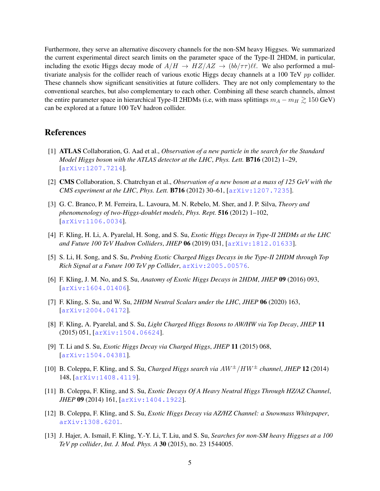Furthermore, they serve an alternative discovery channels for the non-SM heavy Higgses. We summarized the current experimental direct search limits on the parameter space of the Type-II 2HDM, in particular, including the exotic Higgs decay mode of  $A/H \to HZ/AZ \to (bb/\tau\tau)\ell\ell$ . We also performed a multivariate analysis for the collider reach of various exotic Higgs decay channels at a 100 TeV pp collider. These channels show significant sensitivities at future colliders. They are not only complementary to the conventional searches, but also complementary to each other. Combining all these search channels, almost the entire parameter space in hierarchical Type-II 2HDMs (i.e, with mass splittings  $m_A - m_H \gtrsim 150$  GeV) can be explored at a future 100 TeV hadron collider.

#### References

- <span id="page-4-0"></span>[1] ATLAS Collaboration, G. Aad et al., *Observation of a new particle in the search for the Standard Model Higgs boson with the ATLAS detector at the LHC*, *Phys. Lett.* B716 (2012) 1–29, [[arXiv:1207.7214](http://arxiv.org/abs/1207.7214)].
- <span id="page-4-1"></span>[2] CMS Collaboration, S. Chatrchyan et al., *Observation of a new boson at a mass of 125 GeV with the CMS experiment at the LHC*, *Phys. Lett.* B716 (2012) 30–61, [[arXiv:1207.7235](http://arxiv.org/abs/1207.7235)].
- <span id="page-4-2"></span>[3] G. C. Branco, P. M. Ferreira, L. Lavoura, M. N. Rebelo, M. Sher, and J. P. Silva, *Theory and phenomenology of two-Higgs-doublet models*, *Phys. Rept.* 516 (2012) 1–102, [[arXiv:1106.0034](http://arxiv.org/abs/1106.0034)].
- <span id="page-4-3"></span>[4] F. Kling, H. Li, A. Pyarelal, H. Song, and S. Su, *Exotic Higgs Decays in Type-II 2HDMs at the LHC and Future 100 TeV Hadron Colliders*, *JHEP* 06 (2019) 031, [[arXiv:1812.01633](http://arxiv.org/abs/1812.01633)].
- <span id="page-4-4"></span>[5] S. Li, H. Song, and S. Su, *Probing Exotic Charged Higgs Decays in the Type-II 2HDM through Top Rich Signal at a Future 100 TeV pp Collider*, [arXiv:2005.00576](http://arxiv.org/abs/2005.00576).
- <span id="page-4-5"></span>[6] F. Kling, J. M. No, and S. Su, *Anatomy of Exotic Higgs Decays in 2HDM*, *JHEP* 09 (2016) 093, [[arXiv:1604.01406](http://arxiv.org/abs/1604.01406)].
- <span id="page-4-6"></span>[7] F. Kling, S. Su, and W. Su, *2HDM Neutral Scalars under the LHC*, *JHEP* 06 (2020) 163, [[arXiv:2004.04172](http://arxiv.org/abs/2004.04172)].
- <span id="page-4-7"></span>[8] F. Kling, A. Pyarelal, and S. Su, *Light Charged Higgs Bosons to AW/HW via Top Decay*, *JHEP* 11 (2015) 051, [[arXiv:1504.06624](http://arxiv.org/abs/1504.06624)].
- <span id="page-4-8"></span>[9] T. Li and S. Su, *Exotic Higgs Decay via Charged Higgs*, *JHEP* 11 (2015) 068, [[arXiv:1504.04381](http://arxiv.org/abs/1504.04381)].
- <span id="page-4-9"></span>[10] B. Coleppa, F. Kling, and S. Su, *Charged Higgs search via* AW±/HW<sup>±</sup> *channel*, *JHEP* 12 (2014) 148, [[arXiv:1408.4119](http://arxiv.org/abs/1408.4119)].
- <span id="page-4-10"></span>[11] B. Coleppa, F. Kling, and S. Su, *Exotic Decays Of A Heavy Neutral Higgs Through HZ/AZ Channel*, *JHEP* 09 (2014) 161, [[arXiv:1404.1922](http://arxiv.org/abs/1404.1922)].
- <span id="page-4-11"></span>[12] B. Coleppa, F. Kling, and S. Su, *Exotic Higgs Decay via AZ/HZ Channel: a Snowmass Whitepaper*, [arXiv:1308.6201](http://arxiv.org/abs/1308.6201).
- <span id="page-4-12"></span>[13] J. Hajer, A. Ismail, F. Kling, Y.-Y. Li, T. Liu, and S. Su, *Searches for non-SM heavy Higgses at a 100 TeV pp collider*, *Int. J. Mod. Phys. A* 30 (2015), no. 23 1544005.